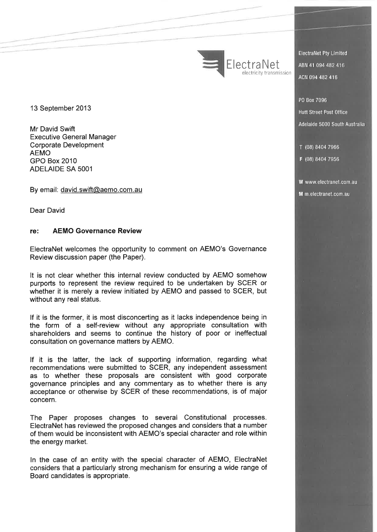ElectraNet

**ElectraNet Pty Limited** ABN 41 094 482 416 ACN 094 482 416

PO Box 7096 **Hutt Street Post Office** Adelaide 5000 South Australia

T (08) 8404 7966

F (08) 8404 7956

W www.electranet.com.au M m.electranet.com.au

13 September 2013

Mr David Swift Executive General Manager Corporate Development AEMO GPO Box 2010 ADELAIDE SA 5001

---

By email: david.swift@aemo.com.au

Dear David

### **re: AEMO Governance Review**

ElectraNet welcomes the opportunity to comment on AEMO's Governance Review discussion paper (the Paper).

It is not clear whether this internal review conducted by AEMO somehow purports to represent the review required to be undertaken by SCER or whether it is merely a review initiated by AEMO and passed to SCER, but without any real status.

If it is the former, it is most disconcerting as it lacks independence being in the form of a self-review without any appropriate consultation with shareholders and seems to continue the history of poor or ineffectual consultation on governance matters by AEMO.

If it is the latter, the lack of supporting information, regarding what recommendations were submitted to SCER, any independent assessment as to whether these proposals are consistent with good corporate governance principles and any commentary as to whether there is any acceptance or otherwise by SCER of these recommendations, is of major concern.

The Paper proposes changes to several Constitutional processes. ElectraNet has reviewed the proposed changes and considers that a number of them would be inconsistent with AEMO's special character and role within the energy market.

In the case of an entity with the special character of AEMO, ElectraNet considers that a particularly strong mechanism for ensuring a wide range of Board candidates is appropriate.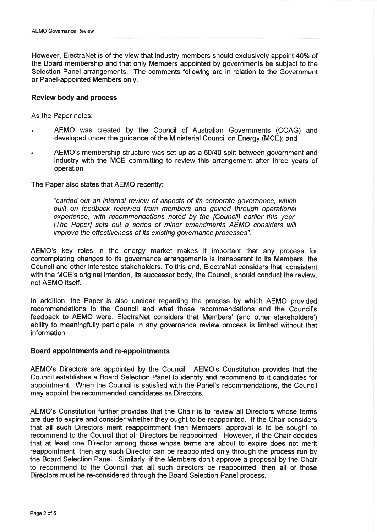However, ElectraNet is of the view that industry members should exclusively appoint 40% of the Board membership and that only Members appointed by governments be subject to the Selection Panel arrangements. The comments following are in relation to the Government or Panel-appointed Members only.

### **Review body and process**

As the Paper notes:

- AEMO was created by the Council of Australian Governments (COAG) and developed under the guidance of the Ministerial Council on Energy (MCE); and
- AEMO's membership structure was set up as a 60/40 split between government and industry with the MCE committing to review this arrangement after three years of operation.

The Paper also states that AEMO recently:

"carried out an internal review of aspects of its corporate governance, which built on feedback received from members and gained through operational experience, with recommendations noted by the [Council] earlier this year. [The Paper] sets out a series of minor amendments AEMO considers will improve the effectiveness of its existing governance processes".

AEMO's key roles in the energy market makes it important that any process for contemplating changes to its governance arrangements is transparent to its Members, the Council and other interested stakeholders. To this end, ElectraNet considers that, consistent with the MCE's original intention, its successor body, the Council, should conduct the review, not AEMO itself.

In addition, the Paper is also unclear regarding the process by which AEMO provided recommendations to the Council and what those recommendations and the Council's feedback to AEMO were. ElectraNet considers that Members' (and other stakeholders') ability to meaningfully participate in any governance review process is limited without that information.

### **Board appointments and re-appointments**

AEMO's Directors are appointed by the Council. AEMO's Constitution provides that the Council establishes a Board Selection Panel to identify and recommend to it candidates for appointment. When the Council is satisfied with the Panel's recommendations, the Council may appoint the recommended candidates as Directors.

AEMO's Constitution further provides that the Chair is to review all Directors whose terms are due to expire and consider whether they ought to be reappointed. If the Chair considers that all such Directors merit reappointment then Members' approval is to be sought to recommend to the Council that all Directors be reappointed. However, if the Chair decides that at least one Director among those whose terms are about to expire does not merit reappointment, then any such Director can be reappointed only through the process run by the Board Selection Panel. Similarly, if the Members don't approve a proposal by the Chair to recommend to the Council that all such directors be reappointed, then all of those Directors must be re-considered through the Board Selection Panel process.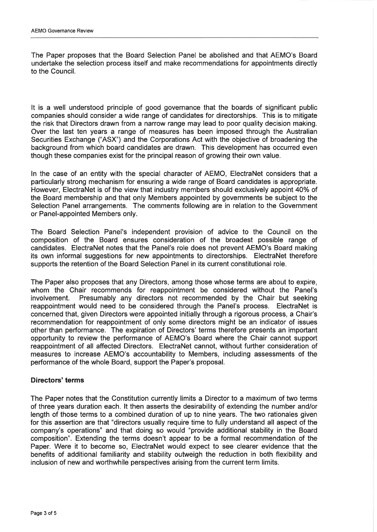The Paper proposes that the Board Selection Panel be abolished and that AEMO's Board undertake the selection process itself and make recommendations for appointments directly to the Council.

It is a well understood principle of good governance that the boards of significant public companies should consider a wide range of candidates for directorships. This is to mitigate the risk that Directors drawn from a narrow range may lead to poor quality decision making. Over the last ten years a range of measures has been imposed through the Australian Securities Exchange ("ASX") and the Corporations Act with the objective of broadening the background from which board candidates are drawn. This development has occurred even though these companies exist for the principal reason of growing their own value.

In the case of an entity with the special character of AEMO, ElectraNet considers that a particularly strong mechanism for ensuring a wide range of Board candidates is appropriate. However, ElectraNet is of the view that industry members should exclusively appoint 40% of the Board membership and that only Members appointed by governments be subject to the Selection Panel arrangements. The comments following are in relation to the Government or Panel-appointed Members only.

The Board Selection Panel's independent provision of advice to the Council on the composition of the Board ensures consideration of the broadest possible range of candidates. ElectraNet notes that the Panel's role does not prevent AEMO's Board making its own informal suggestions for new appointments to directorships. ElectraNet therefore supports the retention of the Board Selection Panel in its current constitutional role.

The Paper also proposes that any Directors, among those whose terms are about to expire, whom the Chair recommends for reappointment be considered without the Panel's involvement. Presumably any directors not recommended by the Chair but seeking reappointment would need to be considered through the Panel's process. ElectraNet is concerned that, given Directors were appointed initially through a rigorous process, a Chair's recommendation for reappointment of only some directors might be an indicator of issues other than performance. The expiration of Directors' terms therefore presents an important opportunity to review the performance of AEMO's Board where the Chair cannot support reappointment of all affected Directors. ElectraNet cannot, without further consideration of measures to increase AEMO's accountability to Members, including assessments of the performance of the whole Board, support the Paper's proposal.

# **Directors' terms**

The Paper notes that the Constitution currently limits a Director to a maximum of two terms of three years duration each. It then asserts the desirability of extending the number and/or length of those terms to a combined duration of up to nine years. The two rationales given for this assertion are that "directors usually require time to fully understand all aspect of the company's operations" and that doing so would "provide additional stability in the Board composition". Extending the terms doesn't appear to be a formal recommendation of the Paper. Were it to become so, ElectraNet would expect to see clearer evidence that the benefits of additional familiarity and stability outweigh the reduction in both flexibility and inclusion of new and worthwhile perspectives arising from the current term limits.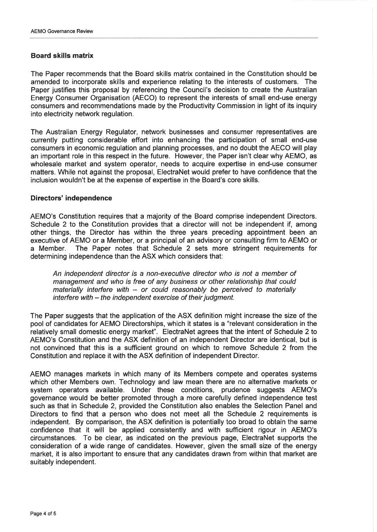## **Board skills matrix**

The Paper recommends that the Board skills matrix contained in the Constitution should be amended to incorporate skills and experience relating to the interests of customers. The Paper justifies this proposal by referencing the Council's decision to create the Australian Energy Consumer Organisation (AECO) to represent the interests of small end-use energy consumers and recommendations made by the Productivity Commission in light of its inquiry into electricity network regulation.

The Australian Energy Regulator, network businesses and consumer representatives are currently putting considerable effort into enhancing the participation of small end-use consumers in economic regulation and planning processes, and no doubt the AECO will play an important role in this respect in the future. However, the Paper isn't clear why AEMO, as wholesale market and system operator, needs to acquire expertise in end-use consumer matters. While not against the proposal, ElectraNet would prefer to have confidence that the inclusion wouldn't be at the expense of expertise in the Board's core skills.

### **Directors' independence**

AEMO's Constitution requires that a majority of the Board comprise independent Directors. Schedule 2 to the Constitution provides that a director will not be independent if, among other things, the Director has within the three years preceding appointment been an executive of AEMO or a Member, or a principal of an advisory or consulting firm to AEMO or a Member. The Paper notes that Schedule 2 sets more stringent requirements for determining independence than the ASX which considers that:

An independent director is a non-executive director who is not a member of management and who is free of any business or other relationship that could materially interfere with  $-$  or could reasonably be perceived to materially interfere with – the independent exercise of their judgment.

The Paper suggests that the application of the ASX definition might increase the size of the pool of candidates for AEMO Directorships, which it states is a "relevant consideration in the relatively small domestic energy market". ElectraNet agrees that the intent of Schedule 2 to AEMO's Constitution and the ASX definition of an independent Director are identical, but is not convinced that this is a sufficient ground on which to remove Schedule 2 from the Constitution and replace it with the ASX definition of independent Director.

AEMO manages markets in which many of its Members compete and operates systems which other Members own. Technology and law mean there are no alternative markets or system operators available. Under these conditions, prudence suggests AEMO's governance would be better promoted through a more carefully defined independence test such as that in Schedule 2, provided the Constitution also enables the Selection Panel and Directors to find that a person who does not meet all the Schedule 2 requirements is independent. By comparison, the ASX definition is potentially too broad to obtain the same confidence that it will be applied consistently and with sufficient rigour in AEMO's circumstances. To be clear, as indicated on the previous page, ElectraNet supports the consideration of a wide range of candidates. However, given the small size of the energy market, it is also important to ensure that any candidates drawn from within that market are suitably independent.